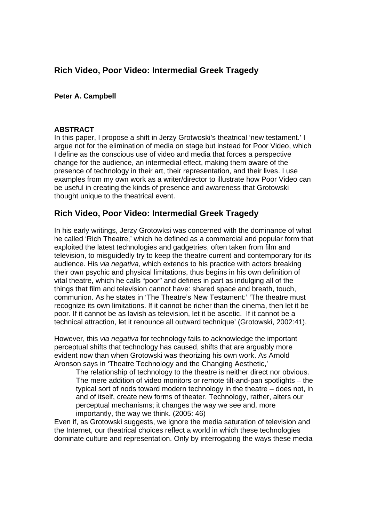# **Rich Video, Poor Video: Intermedial Greek Tragedy**

### **Peter A. Campbell**

#### **ABSTRACT**

In this paper, I propose a shift in Jerzy Grotwoski's theatrical 'new testament.' I argue not for the elimination of media on stage but instead for Poor Video, which I define as the conscious use of video and media that forces a perspective change for the audience, an intermedial effect, making them aware of the presence of technology in their art, their representation, and their lives. I use examples from my own work as a writer/director to illustrate how Poor Video can be useful in creating the kinds of presence and awareness that Grotowski thought unique to the theatrical event.

## **Rich Video, Poor Video: Intermedial Greek Tragedy**

In his early writings, Jerzy Grotowksi was concerned with the dominance of what he called 'Rich Theatre,' which he defined as a commercial and popular form that exploited the latest technologies and gadgetries, often taken from film and television, to misguidedly try to keep the theatre current and contemporary for its audience. His *via negativa,* which extends to his practice with actors breaking their own psychic and physical limitations, thus begins in his own definition of vital theatre, which he calls "poor" and defines in part as indulging all of the things that film and television cannot have: shared space and breath, touch, communion. As he states in 'The Theatre's New Testament:' 'The theatre must recognize its own limitations. If it cannot be richer than the cinema, then let it be poor. If it cannot be as lavish as television, let it be ascetic. If it cannot be a technical attraction, let it renounce all outward technique' (Grotowski, 2002:41).

However, this *via negativa* for technology fails to acknowledge the important perceptual shifts that technology has caused, shifts that are arguably more evident now than when Grotowski was theorizing his own work. As Arnold Aronson says in 'Theatre Technology and the Changing Aesthetic,'

The relationship of technology to the theatre is neither direct nor obvious. The mere addition of video monitors or remote tilt-and-pan spotlights – the typical sort of nods toward modern technology in the theatre – does not, in and of itself, create new forms of theater. Technology, rather, alters our perceptual mechanisms; it changes the way we see and, more importantly, the way we think. (2005: 46)

Even if, as Grotowski suggests, we ignore the media saturation of television and the Internet, our theatrical choices reflect a world in which these technologies dominate culture and representation. Only by interrogating the ways these media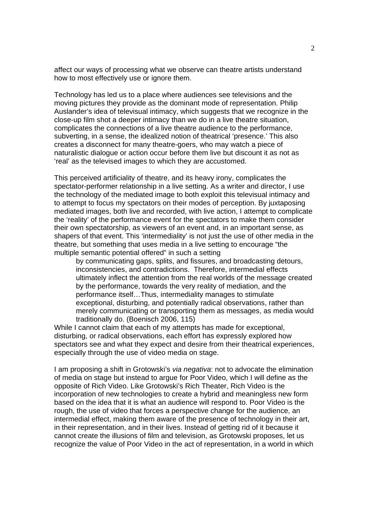affect our ways of processing what we observe can theatre artists understand how to most effectively use or ignore them.

Technology has led us to a place where audiences see televisions and the moving pictures they provide as the dominant mode of representation. Philip Auslander's idea of televisual intimacy, which suggests that we recognize in the close-up film shot a deeper intimacy than we do in a live theatre situation, complicates the connections of a live theatre audience to the performance, subverting, in a sense, the idealized notion of theatrical 'presence.' This also creates a disconnect for many theatre-goers, who may watch a piece of naturalistic dialogue or action occur before them live but discount it as not as 'real' as the televised images to which they are accustomed.

This perceived artificiality of theatre, and its heavy irony, complicates the spectator-performer relationship in a live setting. As a writer and director, I use the technology of the mediated image to both exploit this televisual intimacy and to attempt to focus my spectators on their modes of perception. By juxtaposing mediated images, both live and recorded, with live action, I attempt to complicate the 'reality' of the performance event for the spectators to make them consider their own spectatorship, as viewers of an event and, in an important sense, as shapers of that event. This 'intermediality' is not just the use of other media in the theatre, but something that uses media in a live setting to encourage "the multiple semantic potential offered" in such a setting

by communicating gaps, splits, and fissures, and broadcasting detours, inconsistencies, and contradictions. Therefore, intermedial effects ultimately inflect the attention from the real worlds of the message created by the performance, towards the very reality of mediation, and the performance itself…Thus, intermediality manages to stimulate exceptional, disturbing, and potentially radical observations, rather than merely communicating or transporting them as messages, as media would traditionally do. (Boenisch 2006, 115)

While I cannot claim that each of my attempts has made for exceptional, disturbing, or radical observations, each effort has expressly explored how spectators see and what they expect and desire from their theatrical experiences, especially through the use of video media on stage.

I am proposing a shift in Grotowski's *via negativa*: not to advocate the elimination of media on stage but instead to argue for Poor Video, which I will define as the opposite of Rich Video. Like Grotowski's Rich Theater, Rich Video is the incorporation of new technologies to create a hybrid and meaningless new form based on the idea that it is what an audience will respond to. Poor Video is the rough, the use of video that forces a perspective change for the audience, an intermedial effect, making them aware of the presence of technology in their art, in their representation, and in their lives. Instead of getting rid of it because it cannot create the illusions of film and television, as Grotowski proposes, let us recognize the value of Poor Video in the act of representation, in a world in which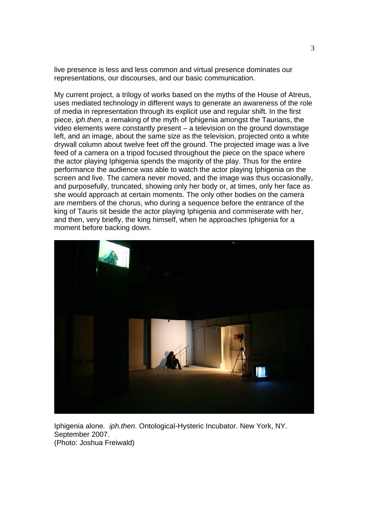live presence is less and less common and virtual presence dominates our representations, our discourses, and our basic communication.

My current project, a trilogy of works based on the myths of the House of Atreus, uses mediated technology in different ways to generate an awareness of the role of media in representation through its explicit use and regular shift. In the first piece, *iph.then*, a remaking of the myth of Iphigenia amongst the Taurians, the video elements were constantly present – a television on the ground downstage left, and an image, about the same size as the television, projected onto a white drywall column about twelve feet off the ground. The projected image was a live feed of a camera on a tripod focused throughout the piece on the space where the actor playing Iphigenia spends the majority of the play. Thus for the entire performance the audience was able to watch the actor playing Iphigenia on the screen and live. The camera never moved, and the image was thus occasionally, and purposefully, truncated, showing only her body or, at times, only her face as she would approach at certain moments. The only other bodies on the camera are members of the chorus, who during a sequence before the entrance of the king of Tauris sit beside the actor playing Iphigenia and commiserate with her, and then, very briefly, the king himself, when he approaches Iphigenia for a moment before backing down.



Iphigenia alone*. iph.then*. Ontological-Hysteric Incubator. New York, NY. September 2007. (Photo: Joshua Freiwald)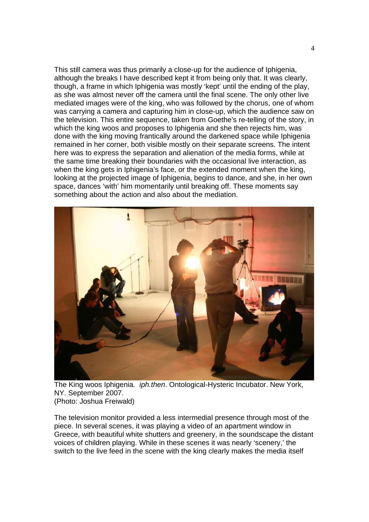This still camera was thus primarily a close-up for the audience of Iphigenia, although the breaks I have described kept it from being only that. It was clearly, though, a frame in which Iphigenia was mostly 'kept' until the ending of the play, as she was almost never off the camera until the final scene. The only other live mediated images were of the king, who was followed by the chorus, one of whom was carrying a camera and capturing him in close-up, which the audience saw on the television. This entire sequence, taken from Goethe's re-telling of the story, in which the king woos and proposes to Iphigenia and she then rejects him, was done with the king moving frantically around the darkened space while Iphigenia remained in her corner, both visible mostly on their separate screens. The intent here was to express the separation and alienation of the media forms, while at the same time breaking their boundaries with the occasional live interaction, as when the king gets in Iphigenia's face, or the extended moment when the king, looking at the projected image of Iphigenia, begins to dance, and she, in her own space, dances 'with' him momentarily until breaking off. These moments say something about the action and also about the mediation.



The King woos Iphigenia*. iph.then*. Ontological-Hysteric Incubator. New York, NY. September 2007. (Photo: Joshua Freiwald)

The television monitor provided a less intermedial presence through most of the piece. In several scenes, it was playing a video of an apartment window in Greece, with beautiful white shutters and greenery, in the soundscape the distant voices of children playing. While in these scenes it was nearly 'scenery,' the switch to the live feed in the scene with the king clearly makes the media itself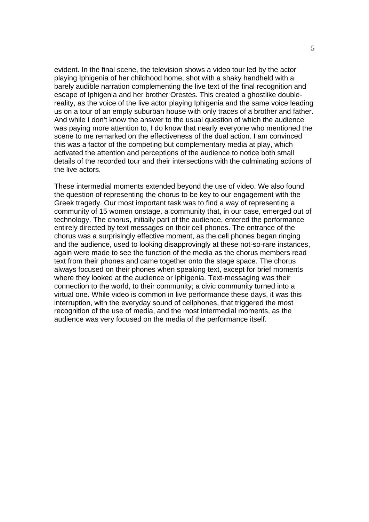evident. In the final scene, the television shows a video tour led by the actor playing Iphigenia of her childhood home, shot with a shaky handheld with a barely audible narration complementing the live text of the final recognition and escape of Iphigenia and her brother Orestes. This created a ghostlike doublereality, as the voice of the live actor playing Iphigenia and the same voice leading us on a tour of an empty suburban house with only traces of a brother and father. And while I don't know the answer to the usual question of which the audience was paying more attention to, I do know that nearly everyone who mentioned the scene to me remarked on the effectiveness of the dual action. I am convinced this was a factor of the competing but complementary media at play, which activated the attention and perceptions of the audience to notice both small details of the recorded tour and their intersections with the culminating actions of the live actors.

These intermedial moments extended beyond the use of video. We also found the question of representing the chorus to be key to our engagement with the Greek tragedy. Our most important task was to find a way of representing a community of 15 women onstage, a community that, in our case, emerged out of technology. The chorus, initially part of the audience, entered the performance entirely directed by text messages on their cell phones. The entrance of the chorus was a surprisingly effective moment, as the cell phones began ringing and the audience, used to looking disapprovingly at these not-so-rare instances, again were made to see the function of the media as the chorus members read text from their phones and came together onto the stage space. The chorus always focused on their phones when speaking text, except for brief moments where they looked at the audience or Iphigenia. Text-messaging was their connection to the world, to their community; a civic community turned into a virtual one. While video is common in live performance these days, it was this interruption, with the everyday sound of cellphones, that triggered the most recognition of the use of media, and the most intermedial moments, as the audience was very focused on the media of the performance itself.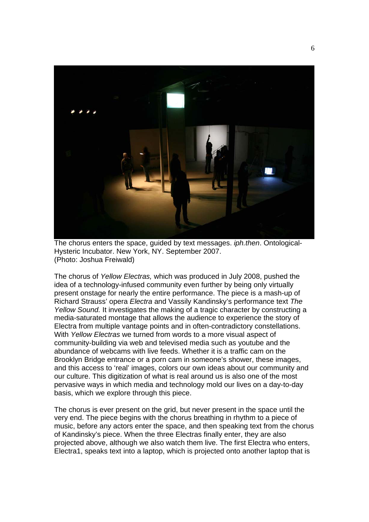

The chorus enters the space, guided by text messages. *iph.then*. Ontological-Hysteric Incubator. New York, NY. September 2007. (Photo: Joshua Freiwald)

The chorus of *Yellow Electras,* which was produced in July 2008, pushed the idea of a technology-infused community even further by being only virtually present onstage for nearly the entire performance. The piece is a mash-up of Richard Strauss' opera *Electra* and Vassily Kandinsky's performance text *The Yellow Sound.* It investigates the making of a tragic character by constructing a media-saturated montage that allows the audience to experience the story of Electra from multiple vantage points and in often-contradictory constellations. With *Yellow Electras* we turned from words to a more visual aspect of community-building via web and televised media such as youtube and the abundance of webcams with live feeds. Whether it is a traffic cam on the Brooklyn Bridge entrance or a porn cam in someone's shower, these images, and this access to 'real' images, colors our own ideas about our community and our culture. This digitization of what is real around us is also one of the most pervasive ways in which media and technology mold our lives on a day-to-day basis, which we explore through this piece.

The chorus is ever present on the grid, but never present in the space until the very end. The piece begins with the chorus breathing in rhythm to a piece of music, before any actors enter the space, and then speaking text from the chorus of Kandinsky's piece. When the three Electras finally enter, they are also projected above, although we also watch them live. The first Electra who enters, Electra1, speaks text into a laptop, which is projected onto another laptop that is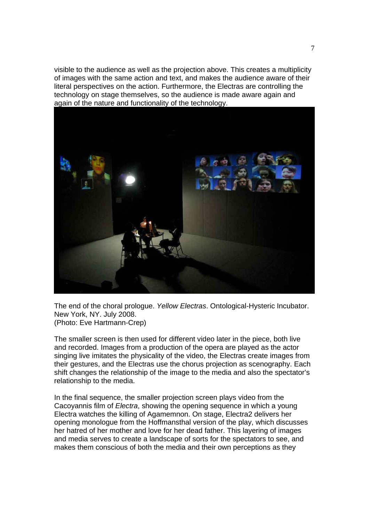visible to the audience as well as the projection above. This creates a multiplicity of images with the same action and text, and makes the audience aware of their literal perspectives on the action. Furthermore, the Electras are controlling the technology on stage themselves, so the audience is made aware again and again of the nature and functionality of the technology.



The end of the choral prologue. *Yellow Electras*. Ontological-Hysteric Incubator. New York, NY. July 2008. (Photo: Eve Hartmann-Crep)

The smaller screen is then used for different video later in the piece, both live and recorded. Images from a production of the opera are played as the actor singing live imitates the physicality of the video, the Electras create images from their gestures, and the Electras use the chorus projection as scenography. Each shift changes the relationship of the image to the media and also the spectator's relationship to the media.

In the final sequence, the smaller projection screen plays video from the Cacoyannis film of *Electra*, showing the opening sequence in which a young Electra watches the killing of Agamemnon. On stage, Electra2 delivers her opening monologue from the Hoffmansthal version of the play, which discusses her hatred of her mother and love for her dead father. This layering of images and media serves to create a landscape of sorts for the spectators to see, and makes them conscious of both the media and their own perceptions as they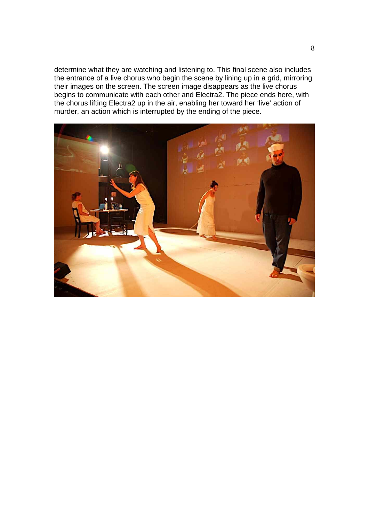determine what they are watching and listening to. This final scene also includes the entrance of a live chorus who begin the scene by lining up in a grid, mirroring their images on the screen. The screen image disappears as the live chorus begins to communicate with each other and Electra2. The piece ends here, with the chorus lifting Electra2 up in the air, enabling her toward her 'live' action of murder, an action which is interrupted by the ending of the piece.

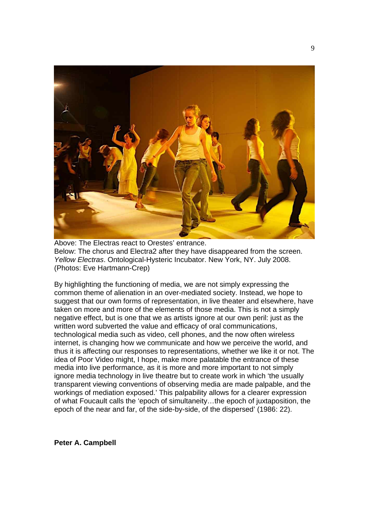

Above: The Electras react to Orestes' entrance. Below: The chorus and Electra2 after they have disappeared from the screen. *Yellow Electras*. Ontological-Hysteric Incubator. New York, NY. July 2008. (Photos: Eve Hartmann-Crep)

By highlighting the functioning of media, we are not simply expressing the common theme of alienation in an over-mediated society. Instead, we hope to suggest that our own forms of representation, in live theater and elsewhere, have taken on more and more of the elements of those media. This is not a simply negative effect, but is one that we as artists ignore at our own peril: just as the written word subverted the value and efficacy of oral communications, technological media such as video, cell phones, and the now often wireless internet, is changing how we communicate and how we perceive the world, and thus it is affecting our responses to representations, whether we like it or not. The idea of Poor Video might, I hope, make more palatable the entrance of these media into live performance, as it is more and more important to not simply ignore media technology in live theatre but to create work in which 'the usually transparent viewing conventions of observing media are made palpable, and the workings of mediation exposed.' This palpability allows for a clearer expression of what Foucault calls the 'epoch of simultaneity…the epoch of juxtaposition, the epoch of the near and far, of the side-by-side, of the dispersed' (1986: 22).

**Peter A. Campbell**